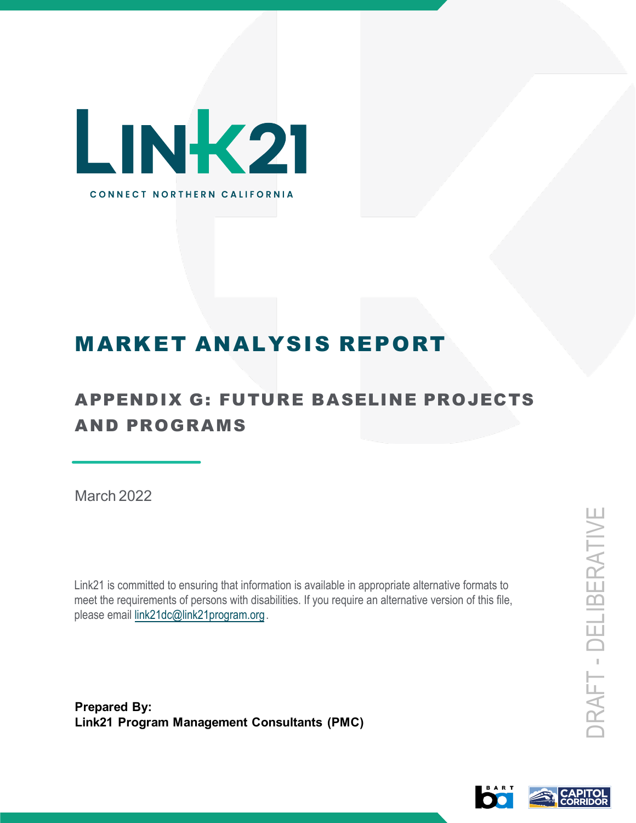

# MARKET ANALYSIS REPORT

## APPENDIX G: FUTURE BASELINE PROJECTS AND PROGRAMS

March 2022

Link21 is committed to ensuring that information is available in appropriate alternative formats to meet the requirements of persons with disabilities. If you require an alternative version of this file, please email [link21dc@link21program.org](mailto:link21dc@link21program.org).

**Prepared By: Link21 Program Management Consultants (PMC)**

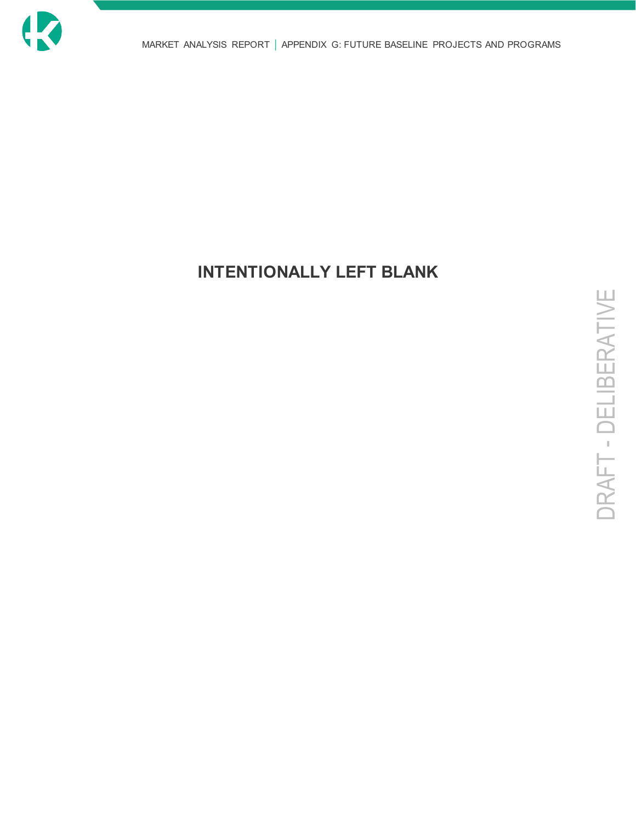

## **INTENTIONALLY LEFT BLANK**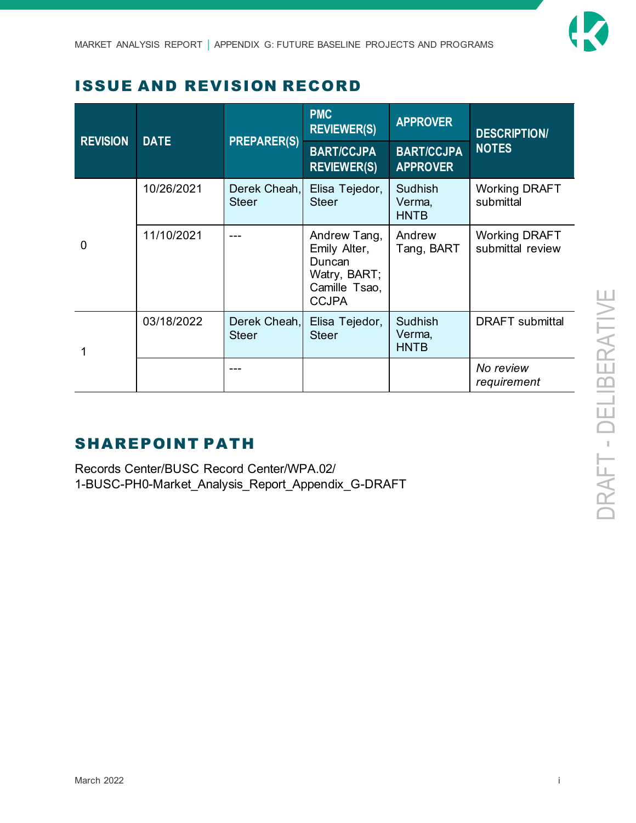

### ISSUE AND REVISION RECORD

| <b>REVISION</b> | <b>DATE</b> | <b>PREPARER(S)</b>           | <b>PMC</b><br><b>REVIEWER(S)</b>                                                        | <b>APPROVER</b>                         | <b>DESCRIPTION/</b><br><b>NOTES</b>      |
|-----------------|-------------|------------------------------|-----------------------------------------------------------------------------------------|-----------------------------------------|------------------------------------------|
|                 |             |                              | <b>BART/CCJPA</b><br><b>REVIEWER(S)</b>                                                 | <b>BART/CCJPA</b><br><b>APPROVER</b>    |                                          |
| 0               | 10/26/2021  | Derek Cheah,<br><b>Steer</b> | Elisa Tejedor,<br><b>Steer</b>                                                          | <b>Sudhish</b><br>Verma,<br><b>HNTB</b> | <b>Working DRAFT</b><br>submittal        |
|                 | 11/10/2021  |                              | Andrew Tang,<br>Emily Alter,<br>Duncan<br>Watry, BART;<br>Camille Tsao,<br><b>CCJPA</b> | Andrew<br>Tang, BART                    | <b>Working DRAFT</b><br>submittal review |
|                 | 03/18/2022  | Derek Cheah,<br><b>Steer</b> | Elisa Tejedor,<br><b>Steer</b>                                                          | <b>Sudhish</b><br>Verma,<br><b>HNTB</b> | <b>DRAFT</b> submittal                   |
|                 |             |                              |                                                                                         |                                         | No review<br>requirement                 |

#### SHAREPOINT PATH

Records Center/BUSC Record Center/WPA.02/ 1-BUSC-PH0-Market\_Analysis\_Report\_Appendix\_G-DRAFT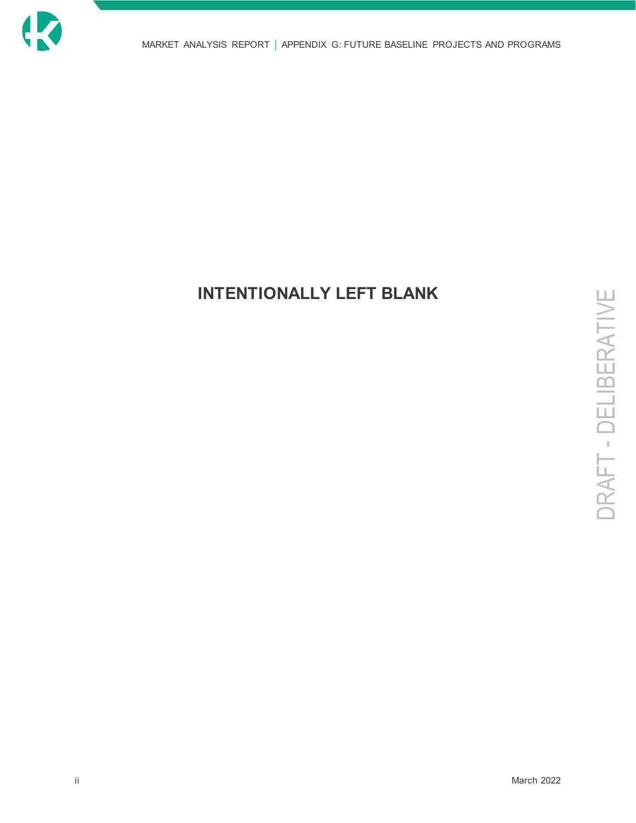

### **INTENTIONALLY LEFT BLANK**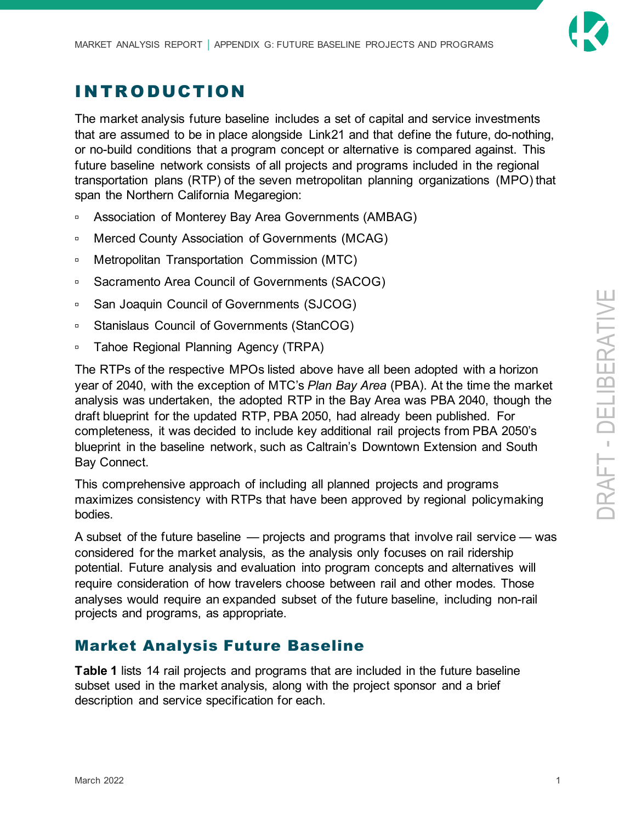

### INTRODUCTION

The market analysis future baseline includes a set of capital and service investments that are assumed to be in place alongside Link21 and that define the future, do-nothing, or no-build conditions that a program concept or alternative is compared against. This future baseline network consists of all projects and programs included in the regional transportation plans (RTP) of the seven metropolitan planning organizations (MPO) that span the Northern California Megaregion:

- □ Association of Monterey Bay Area Governments (AMBAG)
- □ Merced County Association of Governments (MCAG)
- □ Metropolitan Transportation Commission (MTC)
- □ Sacramento Area Council of Governments (SACOG)
- □ San Joaquin Council of Governments (SJCOG)
- □ Stanislaus Council of Governments (StanCOG)
- **Tahoe Regional Planning Agency (TRPA)**

The RTPs of the respective MPOs listed above have all been adopted with a horizon year of 2040, with the exception of MTC's *Plan Bay Area* (PBA). At the time the market analysis was undertaken, the adopted RTP in the Bay Area was PBA 2040, though the draft blueprint for the updated RTP, PBA 2050, had already been published. For completeness, it was decided to include key additional rail projects from PBA 2050's blueprint in the baseline network, such as Caltrain's Downtown Extension and South Bay Connect.

This comprehensive approach of including all planned projects and programs maximizes consistency with RTPs that have been approved by regional policymaking bodies.

A subset of the future baseline — projects and programs that involve rail service — was considered for the market analysis, as the analysis only focuses on rail ridership potential. Future analysis and evaluation into program concepts and alternatives will require consideration of how travelers choose between rail and other modes. Those analyses would require an expanded subset of the future baseline, including non-rail projects and programs, as appropriate.

#### Market Analysis Future Baseline

**[Table 1](#page-5-0)** lists 14 rail projects and programs that are included in the future baseline subset used in the market analysis, along with the project sponsor and a brief description and service specification for each.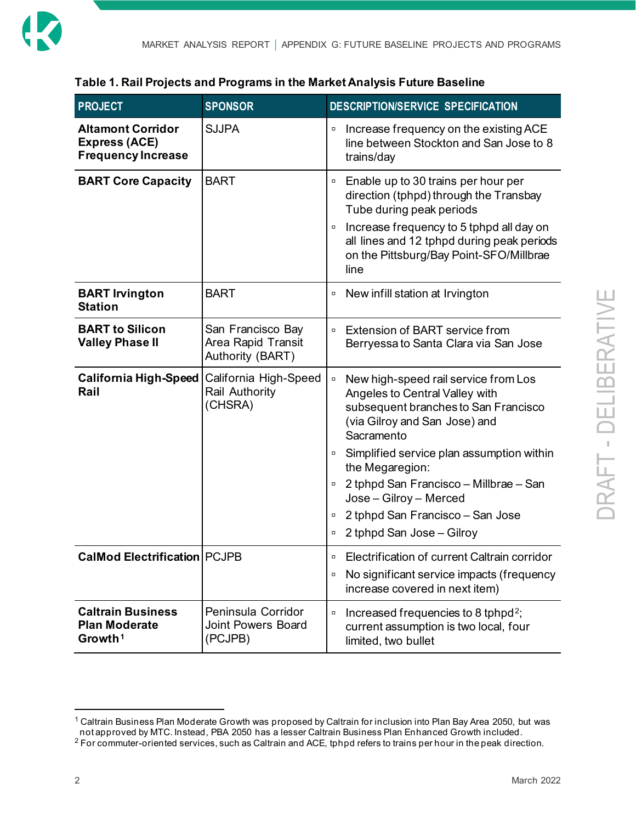

#### <span id="page-5-0"></span>**Table 1. Rail Projects and Programs in the Market Analysis Future Baseline**

| <b>PROJECT</b>                                                                | <b>SPONSOR</b>                                              | DESCRIPTION/SERVICE SPECIFICATION                                                                                                                                                                                                                                                                                                                                                                                    |
|-------------------------------------------------------------------------------|-------------------------------------------------------------|----------------------------------------------------------------------------------------------------------------------------------------------------------------------------------------------------------------------------------------------------------------------------------------------------------------------------------------------------------------------------------------------------------------------|
| <b>Altamont Corridor</b><br><b>Express (ACE)</b><br><b>Frequency Increase</b> | <b>SJJPA</b>                                                | Increase frequency on the existing ACE<br>$\Box$<br>line between Stockton and San Jose to 8<br>trains/day                                                                                                                                                                                                                                                                                                            |
| <b>BART Core Capacity</b>                                                     | <b>BART</b>                                                 | Enable up to 30 trains per hour per<br>$\Box$<br>direction (tphpd) through the Transbay<br>Tube during peak periods<br>Increase frequency to 5 tphpd all day on<br>$\Box$<br>all lines and 12 tphpd during peak periods<br>on the Pittsburg/Bay Point-SFO/Millbrae<br>line                                                                                                                                           |
| <b>BART Irvington</b><br><b>Station</b>                                       | <b>BART</b>                                                 | New infill station at Irvington<br>$\Box$                                                                                                                                                                                                                                                                                                                                                                            |
| <b>BART to Silicon</b><br><b>Valley Phase II</b>                              | San Francisco Bay<br>Area Rapid Transit<br>Authority (BART) | Extension of BART service from<br>$\Box$<br>Berryessa to Santa Clara via San Jose                                                                                                                                                                                                                                                                                                                                    |
| <b>California High-Speed</b><br>Rail                                          | California High-Speed<br>Rail Authority<br>(CHSRA)          | New high-speed rail service from Los<br>$\Box$<br>Angeles to Central Valley with<br>subsequent branches to San Francisco<br>(via Gilroy and San Jose) and<br>Sacramento<br>Simplified service plan assumption within<br>$\Box$<br>the Megaregion:<br>2 tphpd San Francisco - Millbrae - San<br>$\Box$<br>Jose - Gilroy - Merced<br>2 tphpd San Francisco - San Jose<br>$\Box$<br>2 tphpd San Jose - Gilroy<br>$\Box$ |
| <b>CalMod Electrification PCJPB</b>                                           |                                                             | Electrification of current Caltrain corridor<br>$\Box$<br>No significant service impacts (frequency<br>$\Box$<br>increase covered in next item)                                                                                                                                                                                                                                                                      |
| <b>Caltrain Business</b><br><b>Plan Moderate</b><br>Growth <sup>1</sup>       | Peninsula Corridor<br><b>Joint Powers Board</b><br>(PCJPB)  | Increased frequencies to 8 tphpd <sup>2</sup> ;<br>$\Box$<br>current assumption is two local, four<br>limited, two bullet                                                                                                                                                                                                                                                                                            |

<span id="page-5-1"></span><sup>1</sup> Caltrain Business Plan Moderate Growth was proposed by Caltrain for inclusion into Plan Bay Area 2050, but was not approved by MTC. Instead, PBA 2050 has a lesser Caltrain Business Plan Enhanced Growth included.

<span id="page-5-2"></span><sup>&</sup>lt;sup>2</sup> For commuter-oriented services, such as Caltrain and ACE, tphpd refers to trains per hour in the peak direction.